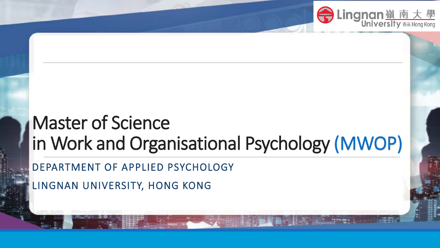

### Master of Science in Work and Organisational Psychology (MWOP)

DEPARTMENT OF APPLIED PSYCHOLOGY

LINGNAN UNIVERSITY, HONG KONG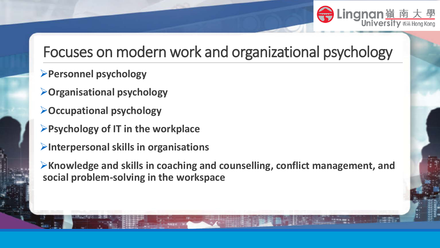

### Focuses on modern work and organizational psychology

- **Personnel psychology**
- **Organisational psychology**
- **Occupational psychology**
- **Psychology of IT in the workplace**
- **Interpersonal skills in organisations**
- **Knowledge and skills in coaching and counselling, conflict management, and social problem-solving in the workspace**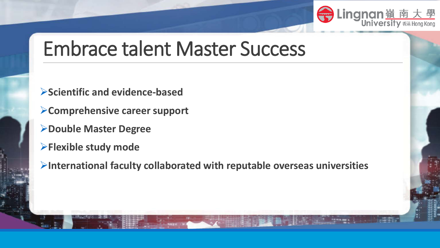

## Embrace talent Master Success

- **Scientific and evidence-based**
- **Comprehensive career support**
- **Double Master Degree**
- **Flexible study mode**
- **International faculty collaborated with reputable overseas universities**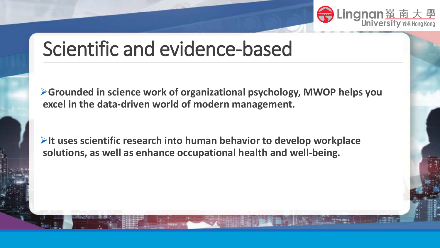

## Scientific and evidence-based

**Grounded in science work of organizational psychology, MWOP helps you excel in the data-driven world of modern management.** 

**It uses scientific research into human behavior to develop workplace solutions, as well as enhance occupational health and well-being.**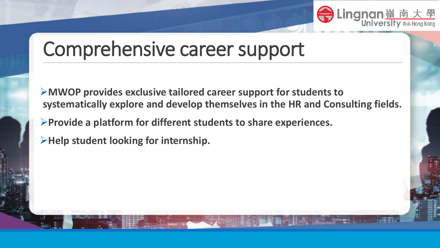

## Comprehensive career support

- **MWOP provides exclusive tailored career support for students to systematically explore and develop themselves in the HR and Consulting fields.**
- **Provide a platform for different students to share experiences.**
- **Help student looking for internship.**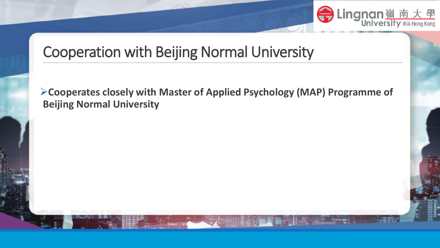

### Cooperation with Beijing Normal University

**Cooperates closely with Master of Applied Psychology (MAP) Programme of Beijing Normal University**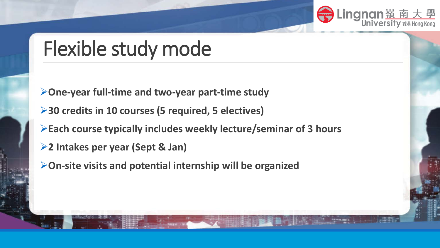

## Flexible study mode

**One-year full-time and two-year part-time study**

**30 credits in 10 courses (5 required, 5 electives)**

**Each course typically includes weekly lecture/seminar of 3 hours**

**2 Intakes per year (Sept & Jan)**

**On-site visits and potential internship will be organized**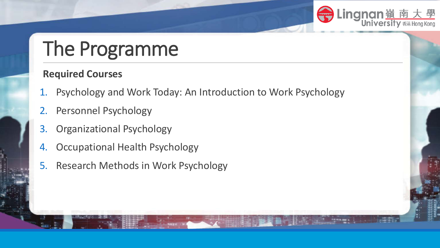

# The Programme

#### **Required Courses**

- 1. Psychology and Work Today: An Introduction to Work Psychology
- 2. Personnel Psychology
- 3. Organizational Psychology
- 4. Occupational Health Psychology
- 5. Research Methods in Work Psychology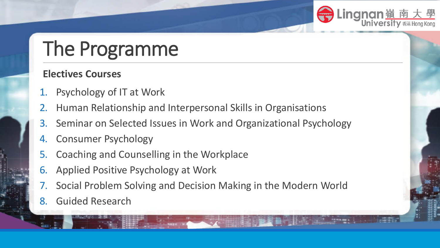

# The Programme

#### **Electives Courses**

- 1. Psychology of IT at Work
- 2. Human Relationship and Interpersonal Skills in Organisations
- 3. Seminar on Selected Issues in Work and Organizational Psychology
- 4. Consumer Psychology
- 5. Coaching and Counselling in the Workplace
- 6. Applied Positive Psychology at Work
- 7. Social Problem Solving and Decision Making in the Modern World
- 8. Guided Research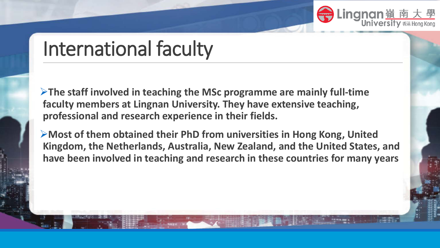

## International faculty

**The staff involved in teaching the MSc programme are mainly full-time faculty members at Lingnan University. They have extensive teaching, professional and research experience in their fields.**

**Most of them obtained their PhD from universities in Hong Kong, United Kingdom, the Netherlands, Australia, New Zealand, and the United States, and have been involved in teaching and research in these countries for many years**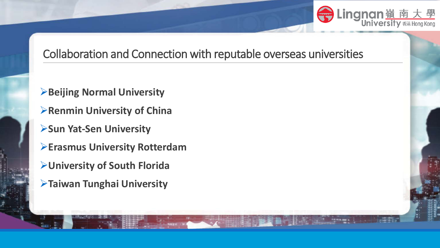

#### Collaboration and Connection with reputable overseas universities

- **Beijing Normal University**
- *Renmin University of China*
- **Sun Yat-Sen University**
- **Erasmus University Rotterdam**
- **University of South Florida**
- **Taiwan Tunghai University**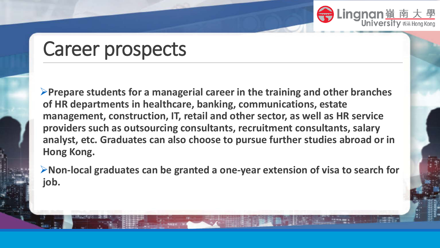

### Career prospects

**Prepare students for a managerial career in the training and other branches of HR departments in healthcare, banking, communications, estate management, construction, IT, retail and other sector, as well as HR service providers such as outsourcing consultants, recruitment consultants, salary analyst, etc. Graduates can also choose to pursue further studies abroad or in Hong Kong.**

**Non-local graduates can be granted a one-year extension of visa to search for job.**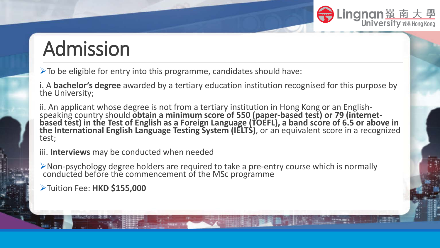

## Admission

 $\triangleright$  To be eligible for entry into this programme, candidates should have:

i. A **bachelor's degree** awarded by a tertiary education institution recognised for this purpose by the University;

ii. An applicant whose degree is not from a tertiary institution in Hong Kong or an English-<br>speaking country should **obtain a minimum score of 550 (paper-based test) or 79 (internet-**<br>based test) in the Test of English as **the International English Language Testing System (IELTS)**, or an equivalent score in a recognized test;

- iii. **Interviews** may be conducted when needed
- Non-psychology degree holders are required to take a pre-entry course which is normally conducted before the commencement of the MSc programme

Tuition Fee: **HKD \$155,000**